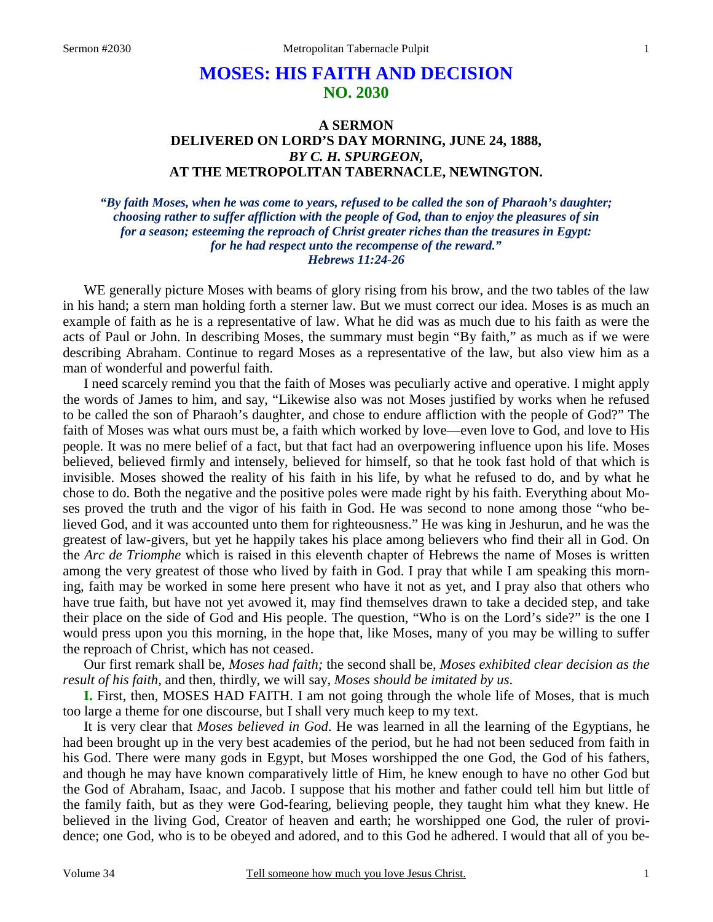# **MOSES: HIS FAITH AND DECISION NO. 2030**

## **A SERMON DELIVERED ON LORD'S DAY MORNING, JUNE 24, 1888,**  *BY C. H. SPURGEON,*  **AT THE METROPOLITAN TABERNACLE, NEWINGTON.**

*"By faith Moses, when he was come to years, refused to be called the son of Pharaoh's daughter; choosing rather to suffer affliction with the people of God, than to enjoy the pleasures of sin for a season; esteeming the reproach of Christ greater riches than the treasures in Egypt: for he had respect unto the recompense of the reward." Hebrews 11:24-26* 

WE generally picture Moses with beams of glory rising from his brow, and the two tables of the law in his hand; a stern man holding forth a sterner law. But we must correct our idea. Moses is as much an example of faith as he is a representative of law. What he did was as much due to his faith as were the acts of Paul or John. In describing Moses, the summary must begin "By faith," as much as if we were describing Abraham. Continue to regard Moses as a representative of the law, but also view him as a man of wonderful and powerful faith.

I need scarcely remind you that the faith of Moses was peculiarly active and operative. I might apply the words of James to him, and say, "Likewise also was not Moses justified by works when he refused to be called the son of Pharaoh's daughter, and chose to endure affliction with the people of God?" The faith of Moses was what ours must be, a faith which worked by love—even love to God, and love to His people. It was no mere belief of a fact, but that fact had an overpowering influence upon his life. Moses believed, believed firmly and intensely, believed for himself, so that he took fast hold of that which is invisible. Moses showed the reality of his faith in his life, by what he refused to do, and by what he chose to do. Both the negative and the positive poles were made right by his faith. Everything about Moses proved the truth and the vigor of his faith in God. He was second to none among those "who believed God, and it was accounted unto them for righteousness." He was king in Jeshurun, and he was the greatest of law-givers, but yet he happily takes his place among believers who find their all in God. On the *Arc de Triomphe* which is raised in this eleventh chapter of Hebrews the name of Moses is written among the very greatest of those who lived by faith in God. I pray that while I am speaking this morning, faith may be worked in some here present who have it not as yet, and I pray also that others who have true faith, but have not yet avowed it, may find themselves drawn to take a decided step, and take their place on the side of God and His people. The question, "Who is on the Lord's side?" is the one I would press upon you this morning, in the hope that, like Moses, many of you may be willing to suffer the reproach of Christ, which has not ceased.

Our first remark shall be, *Moses had faith;* the second shall be, *Moses exhibited clear decision as the result of his faith,* and then, thirdly, we will say, *Moses should be imitated by us*.

**I.** First, then, MOSES HAD FAITH. I am not going through the whole life of Moses, that is much too large a theme for one discourse, but I shall very much keep to my text.

It is very clear that *Moses believed in God*. He was learned in all the learning of the Egyptians, he had been brought up in the very best academies of the period, but he had not been seduced from faith in his God. There were many gods in Egypt, but Moses worshipped the one God, the God of his fathers, and though he may have known comparatively little of Him, he knew enough to have no other God but the God of Abraham, Isaac, and Jacob. I suppose that his mother and father could tell him but little of the family faith, but as they were God-fearing, believing people, they taught him what they knew. He believed in the living God, Creator of heaven and earth; he worshipped one God, the ruler of providence; one God, who is to be obeyed and adored, and to this God he adhered. I would that all of you be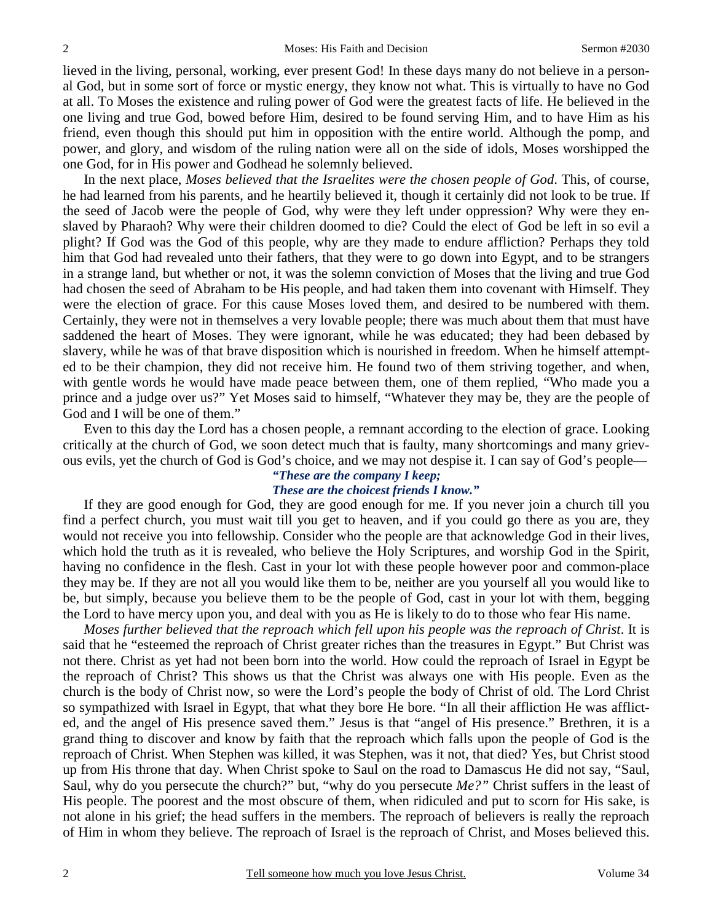lieved in the living, personal, working, ever present God! In these days many do not believe in a personal God, but in some sort of force or mystic energy, they know not what. This is virtually to have no God at all. To Moses the existence and ruling power of God were the greatest facts of life. He believed in the one living and true God, bowed before Him, desired to be found serving Him, and to have Him as his friend, even though this should put him in opposition with the entire world. Although the pomp, and power, and glory, and wisdom of the ruling nation were all on the side of idols, Moses worshipped the one God, for in His power and Godhead he solemnly believed.

In the next place, *Moses believed that the Israelites were the chosen people of God*. This, of course, he had learned from his parents, and he heartily believed it, though it certainly did not look to be true. If the seed of Jacob were the people of God, why were they left under oppression? Why were they enslaved by Pharaoh? Why were their children doomed to die? Could the elect of God be left in so evil a plight? If God was the God of this people, why are they made to endure affliction? Perhaps they told him that God had revealed unto their fathers, that they were to go down into Egypt, and to be strangers in a strange land, but whether or not, it was the solemn conviction of Moses that the living and true God had chosen the seed of Abraham to be His people, and had taken them into covenant with Himself. They were the election of grace. For this cause Moses loved them, and desired to be numbered with them. Certainly, they were not in themselves a very lovable people; there was much about them that must have saddened the heart of Moses. They were ignorant, while he was educated; they had been debased by slavery, while he was of that brave disposition which is nourished in freedom. When he himself attempted to be their champion, they did not receive him. He found two of them striving together, and when, with gentle words he would have made peace between them, one of them replied, "Who made you a prince and a judge over us?" Yet Moses said to himself, "Whatever they may be, they are the people of God and I will be one of them."

Even to this day the Lord has a chosen people, a remnant according to the election of grace. Looking critically at the church of God, we soon detect much that is faulty, many shortcomings and many grievous evils, yet the church of God is God's choice, and we may not despise it. I can say of God's people—

#### *"These are the company I keep; These are the choicest friends I know."*

If they are good enough for God, they are good enough for me. If you never join a church till you find a perfect church, you must wait till you get to heaven, and if you could go there as you are, they would not receive you into fellowship. Consider who the people are that acknowledge God in their lives, which hold the truth as it is revealed, who believe the Holy Scriptures, and worship God in the Spirit, having no confidence in the flesh. Cast in your lot with these people however poor and common-place they may be. If they are not all you would like them to be, neither are you yourself all you would like to be, but simply, because you believe them to be the people of God, cast in your lot with them, begging the Lord to have mercy upon you, and deal with you as He is likely to do to those who fear His name.

*Moses further believed that the reproach which fell upon his people was the reproach of Christ*. It is said that he "esteemed the reproach of Christ greater riches than the treasures in Egypt." But Christ was not there. Christ as yet had not been born into the world. How could the reproach of Israel in Egypt be the reproach of Christ? This shows us that the Christ was always one with His people. Even as the church is the body of Christ now, so were the Lord's people the body of Christ of old. The Lord Christ so sympathized with Israel in Egypt, that what they bore He bore. "In all their affliction He was afflicted, and the angel of His presence saved them." Jesus is that "angel of His presence." Brethren, it is a grand thing to discover and know by faith that the reproach which falls upon the people of God is the reproach of Christ. When Stephen was killed, it was Stephen, was it not, that died? Yes, but Christ stood up from His throne that day. When Christ spoke to Saul on the road to Damascus He did not say, "Saul, Saul, why do you persecute the church?" but, "why do you persecute *Me?"* Christ suffers in the least of His people. The poorest and the most obscure of them, when ridiculed and put to scorn for His sake, is not alone in his grief; the head suffers in the members. The reproach of believers is really the reproach of Him in whom they believe. The reproach of Israel is the reproach of Christ, and Moses believed this.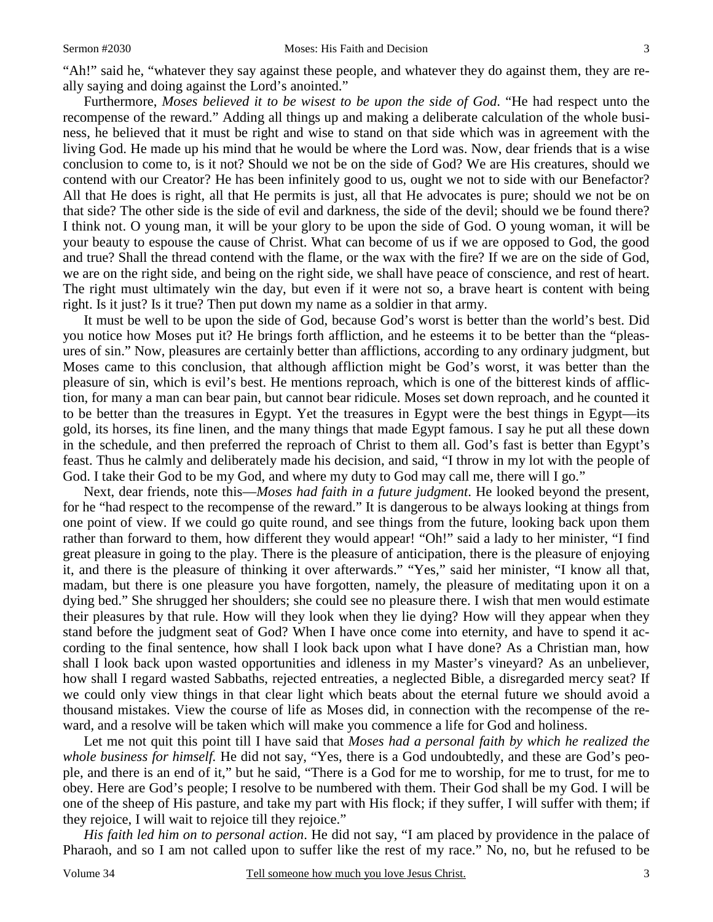"Ah!" said he, "whatever they say against these people, and whatever they do against them, they are really saying and doing against the Lord's anointed."

Furthermore, *Moses believed it to be wisest to be upon the side of God*. "He had respect unto the recompense of the reward." Adding all things up and making a deliberate calculation of the whole business, he believed that it must be right and wise to stand on that side which was in agreement with the living God. He made up his mind that he would be where the Lord was. Now, dear friends that is a wise conclusion to come to, is it not? Should we not be on the side of God? We are His creatures, should we contend with our Creator? He has been infinitely good to us, ought we not to side with our Benefactor? All that He does is right, all that He permits is just, all that He advocates is pure; should we not be on that side? The other side is the side of evil and darkness, the side of the devil; should we be found there? I think not. O young man, it will be your glory to be upon the side of God. O young woman, it will be your beauty to espouse the cause of Christ. What can become of us if we are opposed to God, the good and true? Shall the thread contend with the flame, or the wax with the fire? If we are on the side of God, we are on the right side, and being on the right side, we shall have peace of conscience, and rest of heart. The right must ultimately win the day, but even if it were not so, a brave heart is content with being right. Is it just? Is it true? Then put down my name as a soldier in that army.

It must be well to be upon the side of God, because God's worst is better than the world's best. Did you notice how Moses put it? He brings forth affliction, and he esteems it to be better than the "pleasures of sin." Now, pleasures are certainly better than afflictions, according to any ordinary judgment, but Moses came to this conclusion, that although affliction might be God's worst, it was better than the pleasure of sin, which is evil's best. He mentions reproach, which is one of the bitterest kinds of affliction, for many a man can bear pain, but cannot bear ridicule. Moses set down reproach, and he counted it to be better than the treasures in Egypt. Yet the treasures in Egypt were the best things in Egypt—its gold, its horses, its fine linen, and the many things that made Egypt famous. I say he put all these down in the schedule, and then preferred the reproach of Christ to them all. God's fast is better than Egypt's feast. Thus he calmly and deliberately made his decision, and said, "I throw in my lot with the people of God. I take their God to be my God, and where my duty to God may call me, there will I go."

Next, dear friends, note this—*Moses had faith in a future judgment*. He looked beyond the present, for he "had respect to the recompense of the reward." It is dangerous to be always looking at things from one point of view. If we could go quite round, and see things from the future, looking back upon them rather than forward to them, how different they would appear! "Oh!" said a lady to her minister, "I find great pleasure in going to the play. There is the pleasure of anticipation, there is the pleasure of enjoying it, and there is the pleasure of thinking it over afterwards." "Yes," said her minister, "I know all that, madam, but there is one pleasure you have forgotten, namely, the pleasure of meditating upon it on a dying bed." She shrugged her shoulders; she could see no pleasure there. I wish that men would estimate their pleasures by that rule. How will they look when they lie dying? How will they appear when they stand before the judgment seat of God? When I have once come into eternity, and have to spend it according to the final sentence, how shall I look back upon what I have done? As a Christian man, how shall I look back upon wasted opportunities and idleness in my Master's vineyard? As an unbeliever, how shall I regard wasted Sabbaths, rejected entreaties, a neglected Bible, a disregarded mercy seat? If we could only view things in that clear light which beats about the eternal future we should avoid a thousand mistakes. View the course of life as Moses did, in connection with the recompense of the reward, and a resolve will be taken which will make you commence a life for God and holiness.

Let me not quit this point till I have said that *Moses had a personal faith by which he realized the whole business for himself.* He did not say, "Yes, there is a God undoubtedly, and these are God's people, and there is an end of it," but he said, "There is a God for me to worship, for me to trust, for me to obey. Here are God's people; I resolve to be numbered with them. Their God shall be my God. I will be one of the sheep of His pasture, and take my part with His flock; if they suffer, I will suffer with them; if they rejoice, I will wait to rejoice till they rejoice."

*His faith led him on to personal action*. He did not say, "I am placed by providence in the palace of Pharaoh, and so I am not called upon to suffer like the rest of my race." No, no, but he refused to be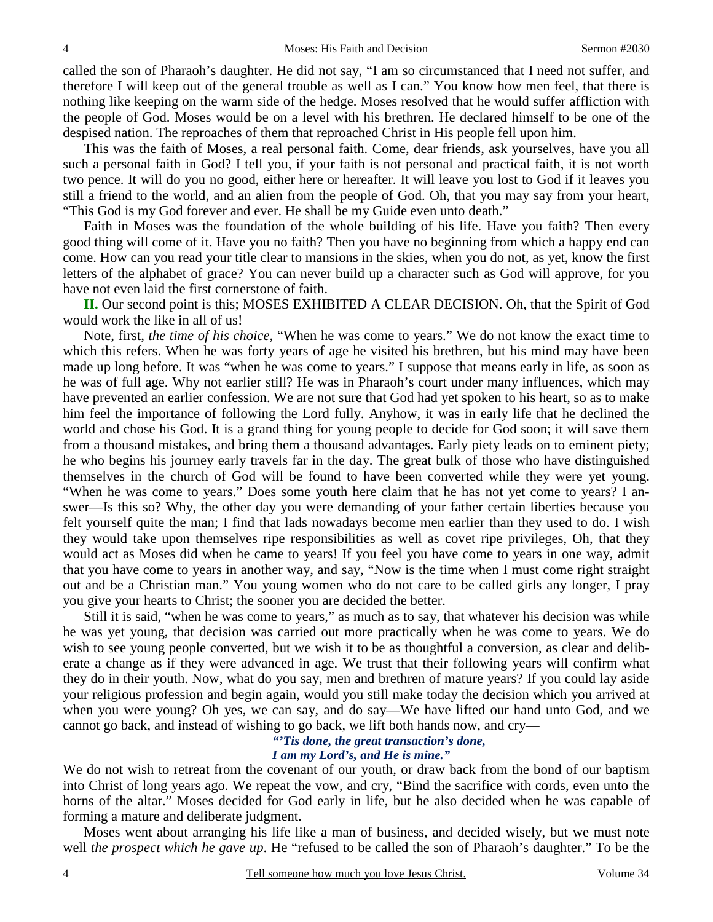called the son of Pharaoh's daughter. He did not say, "I am so circumstanced that I need not suffer, and therefore I will keep out of the general trouble as well as I can." You know how men feel, that there is nothing like keeping on the warm side of the hedge. Moses resolved that he would suffer affliction with the people of God. Moses would be on a level with his brethren. He declared himself to be one of the despised nation. The reproaches of them that reproached Christ in His people fell upon him.

This was the faith of Moses, a real personal faith. Come, dear friends, ask yourselves, have you all such a personal faith in God? I tell you, if your faith is not personal and practical faith, it is not worth two pence. It will do you no good, either here or hereafter. It will leave you lost to God if it leaves you still a friend to the world, and an alien from the people of God. Oh, that you may say from your heart, "This God is my God forever and ever. He shall be my Guide even unto death."

Faith in Moses was the foundation of the whole building of his life. Have you faith? Then every good thing will come of it. Have you no faith? Then you have no beginning from which a happy end can come. How can you read your title clear to mansions in the skies, when you do not, as yet, know the first letters of the alphabet of grace? You can never build up a character such as God will approve, for you have not even laid the first cornerstone of faith.

**II.** Our second point is this; MOSES EXHIBITED A CLEAR DECISION. Oh, that the Spirit of God would work the like in all of us!

Note, first, *the time of his choice,* "When he was come to years." We do not know the exact time to which this refers. When he was forty years of age he visited his brethren, but his mind may have been made up long before. It was "when he was come to years." I suppose that means early in life, as soon as he was of full age. Why not earlier still? He was in Pharaoh's court under many influences, which may have prevented an earlier confession. We are not sure that God had yet spoken to his heart, so as to make him feel the importance of following the Lord fully. Anyhow, it was in early life that he declined the world and chose his God. It is a grand thing for young people to decide for God soon; it will save them from a thousand mistakes, and bring them a thousand advantages. Early piety leads on to eminent piety; he who begins his journey early travels far in the day. The great bulk of those who have distinguished themselves in the church of God will be found to have been converted while they were yet young. "When he was come to years." Does some youth here claim that he has not yet come to years? I answer—Is this so? Why, the other day you were demanding of your father certain liberties because you felt yourself quite the man; I find that lads nowadays become men earlier than they used to do. I wish they would take upon themselves ripe responsibilities as well as covet ripe privileges, Oh, that they would act as Moses did when he came to years! If you feel you have come to years in one way, admit that you have come to years in another way, and say, "Now is the time when I must come right straight out and be a Christian man." You young women who do not care to be called girls any longer, I pray you give your hearts to Christ; the sooner you are decided the better.

Still it is said, "when he was come to years," as much as to say, that whatever his decision was while he was yet young, that decision was carried out more practically when he was come to years. We do wish to see young people converted, but we wish it to be as thoughtful a conversion, as clear and deliberate a change as if they were advanced in age. We trust that their following years will confirm what they do in their youth. Now, what do you say, men and brethren of mature years? If you could lay aside your religious profession and begin again, would you still make today the decision which you arrived at when you were young? Oh yes, we can say, and do say—We have lifted our hand unto God, and we cannot go back, and instead of wishing to go back, we lift both hands now, and cry—

#### *"'Tis done, the great transaction's done, I am my Lord's, and He is mine."*

We do not wish to retreat from the covenant of our youth, or draw back from the bond of our baptism into Christ of long years ago. We repeat the vow, and cry, "Bind the sacrifice with cords, even unto the horns of the altar." Moses decided for God early in life, but he also decided when he was capable of forming a mature and deliberate judgment.

Moses went about arranging his life like a man of business, and decided wisely, but we must note well *the prospect which he gave up*. He "refused to be called the son of Pharaoh's daughter." To be the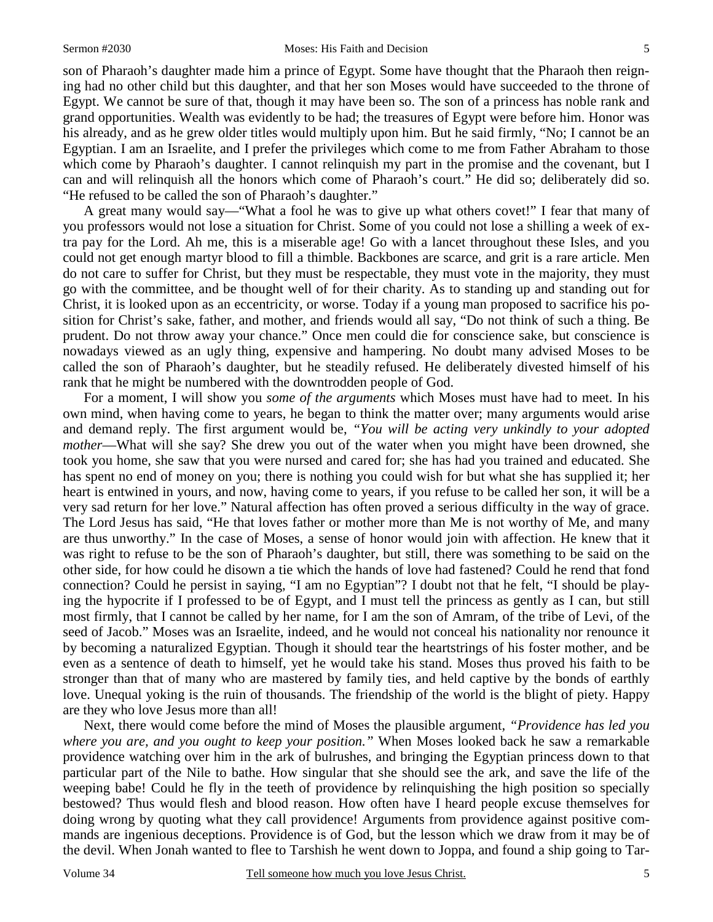son of Pharaoh's daughter made him a prince of Egypt. Some have thought that the Pharaoh then reigning had no other child but this daughter, and that her son Moses would have succeeded to the throne of Egypt. We cannot be sure of that, though it may have been so. The son of a princess has noble rank and grand opportunities. Wealth was evidently to be had; the treasures of Egypt were before him. Honor was his already, and as he grew older titles would multiply upon him. But he said firmly, "No; I cannot be an Egyptian. I am an Israelite, and I prefer the privileges which come to me from Father Abraham to those which come by Pharaoh's daughter. I cannot relinquish my part in the promise and the covenant, but I can and will relinquish all the honors which come of Pharaoh's court." He did so; deliberately did so. "He refused to be called the son of Pharaoh's daughter."

A great many would say—"What a fool he was to give up what others covet!" I fear that many of you professors would not lose a situation for Christ. Some of you could not lose a shilling a week of extra pay for the Lord. Ah me, this is a miserable age! Go with a lancet throughout these Isles, and you could not get enough martyr blood to fill a thimble. Backbones are scarce, and grit is a rare article. Men do not care to suffer for Christ, but they must be respectable, they must vote in the majority, they must go with the committee, and be thought well of for their charity. As to standing up and standing out for Christ, it is looked upon as an eccentricity, or worse. Today if a young man proposed to sacrifice his position for Christ's sake, father, and mother, and friends would all say, "Do not think of such a thing. Be prudent. Do not throw away your chance." Once men could die for conscience sake, but conscience is nowadays viewed as an ugly thing, expensive and hampering. No doubt many advised Moses to be called the son of Pharaoh's daughter, but he steadily refused. He deliberately divested himself of his rank that he might be numbered with the downtrodden people of God.

For a moment, I will show you *some of the arguments* which Moses must have had to meet. In his own mind, when having come to years, he began to think the matter over; many arguments would arise and demand reply. The first argument would be, *"You will be acting very unkindly to your adopted mother*—What will she say? She drew you out of the water when you might have been drowned, she took you home, she saw that you were nursed and cared for; she has had you trained and educated. She has spent no end of money on you; there is nothing you could wish for but what she has supplied it; her heart is entwined in yours, and now, having come to years, if you refuse to be called her son, it will be a very sad return for her love." Natural affection has often proved a serious difficulty in the way of grace. The Lord Jesus has said, "He that loves father or mother more than Me is not worthy of Me, and many are thus unworthy." In the case of Moses, a sense of honor would join with affection. He knew that it was right to refuse to be the son of Pharaoh's daughter, but still, there was something to be said on the other side, for how could he disown a tie which the hands of love had fastened? Could he rend that fond connection? Could he persist in saying, "I am no Egyptian"? I doubt not that he felt, "I should be playing the hypocrite if I professed to be of Egypt, and I must tell the princess as gently as I can, but still most firmly, that I cannot be called by her name, for I am the son of Amram, of the tribe of Levi, of the seed of Jacob." Moses was an Israelite, indeed, and he would not conceal his nationality nor renounce it by becoming a naturalized Egyptian. Though it should tear the heartstrings of his foster mother, and be even as a sentence of death to himself, yet he would take his stand. Moses thus proved his faith to be stronger than that of many who are mastered by family ties, and held captive by the bonds of earthly love. Unequal yoking is the ruin of thousands. The friendship of the world is the blight of piety. Happy are they who love Jesus more than all!

Next, there would come before the mind of Moses the plausible argument, *"Providence has led you where you are, and you ought to keep your position."* When Moses looked back he saw a remarkable providence watching over him in the ark of bulrushes, and bringing the Egyptian princess down to that particular part of the Nile to bathe. How singular that she should see the ark, and save the life of the weeping babe! Could he fly in the teeth of providence by relinquishing the high position so specially bestowed? Thus would flesh and blood reason. How often have I heard people excuse themselves for doing wrong by quoting what they call providence! Arguments from providence against positive commands are ingenious deceptions. Providence is of God, but the lesson which we draw from it may be of the devil. When Jonah wanted to flee to Tarshish he went down to Joppa, and found a ship going to Tar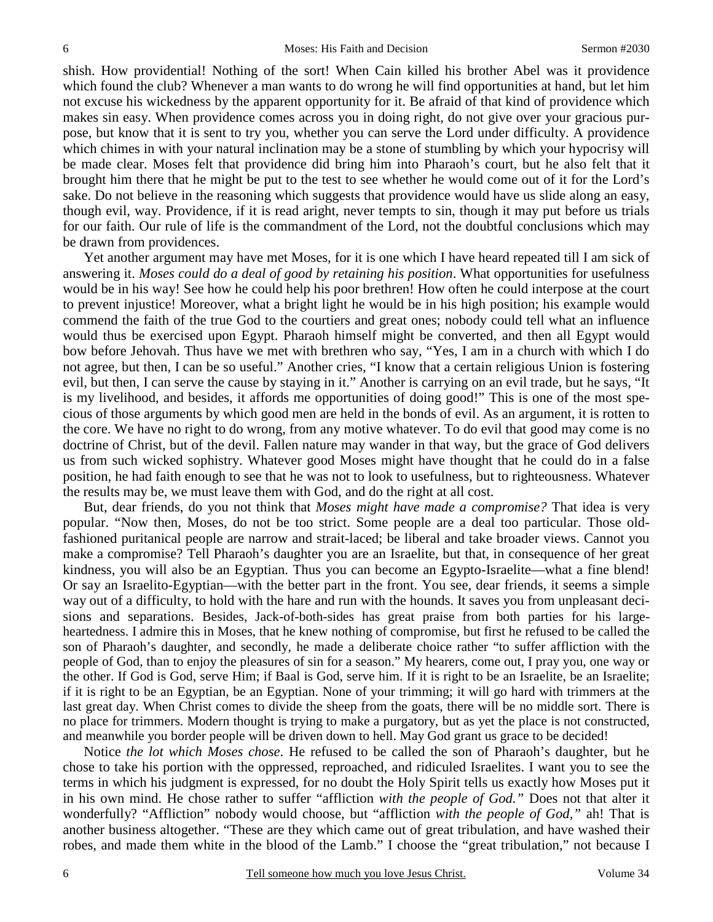shish. How providential! Nothing of the sort! When Cain killed his brother Abel was it providence which found the club? Whenever a man wants to do wrong he will find opportunities at hand, but let him not excuse his wickedness by the apparent opportunity for it. Be afraid of that kind of providence which makes sin easy. When providence comes across you in doing right, do not give over your gracious purpose, but know that it is sent to try you, whether you can serve the Lord under difficulty. A providence which chimes in with your natural inclination may be a stone of stumbling by which your hypocrisy will be made clear. Moses felt that providence did bring him into Pharaoh's court, but he also felt that it brought him there that he might be put to the test to see whether he would come out of it for the Lord's sake. Do not believe in the reasoning which suggests that providence would have us slide along an easy, though evil, way. Providence, if it is read aright, never tempts to sin, though it may put before us trials for our faith. Our rule of life is the commandment of the Lord, not the doubtful conclusions which may be drawn from providences.

Yet another argument may have met Moses, for it is one which I have heard repeated till I am sick of answering it. *Moses could do a deal of good by retaining his position*. What opportunities for usefulness would be in his way! See how he could help his poor brethren! How often he could interpose at the court to prevent injustice! Moreover, what a bright light he would be in his high position; his example would commend the faith of the true God to the courtiers and great ones; nobody could tell what an influence would thus be exercised upon Egypt. Pharaoh himself might be converted, and then all Egypt would bow before Jehovah. Thus have we met with brethren who say, "Yes, I am in a church with which I do not agree, but then, I can be so useful." Another cries, "I know that a certain religious Union is fostering evil, but then, I can serve the cause by staying in it." Another is carrying on an evil trade, but he says, "It is my livelihood, and besides, it affords me opportunities of doing good!" This is one of the most specious of those arguments by which good men are held in the bonds of evil. As an argument, it is rotten to the core. We have no right to do wrong, from any motive whatever. To do evil that good may come is no doctrine of Christ, but of the devil. Fallen nature may wander in that way, but the grace of God delivers us from such wicked sophistry. Whatever good Moses might have thought that he could do in a false position, he had faith enough to see that he was not to look to usefulness, but to righteousness. Whatever the results may be, we must leave them with God, and do the right at all cost.

But, dear friends, do you not think that *Moses might have made a compromise?* That idea is very popular. "Now then, Moses, do not be too strict. Some people are a deal too particular. Those oldfashioned puritanical people are narrow and strait-laced; be liberal and take broader views. Cannot you make a compromise? Tell Pharaoh's daughter you are an Israelite, but that, in consequence of her great kindness, you will also be an Egyptian. Thus you can become an Egypto-Israelite—what a fine blend! Or say an Israelito-Egyptian—with the better part in the front. You see, dear friends, it seems a simple way out of a difficulty, to hold with the hare and run with the hounds. It saves you from unpleasant decisions and separations. Besides, Jack-of-both-sides has great praise from both parties for his largeheartedness. I admire this in Moses, that he knew nothing of compromise, but first he refused to be called the son of Pharaoh's daughter, and secondly, he made a deliberate choice rather "to suffer affliction with the people of God, than to enjoy the pleasures of sin for a season." My hearers, come out, I pray you, one way or the other. If God is God, serve Him; if Baal is God, serve him. If it is right to be an Israelite, be an Israelite; if it is right to be an Egyptian, be an Egyptian. None of your trimming; it will go hard with trimmers at the last great day. When Christ comes to divide the sheep from the goats, there will be no middle sort. There is no place for trimmers. Modern thought is trying to make a purgatory, but as yet the place is not constructed, and meanwhile you border people will be driven down to hell. May God grant us grace to be decided!

Notice *the lot which Moses chose*. He refused to be called the son of Pharaoh's daughter, but he chose to take his portion with the oppressed, reproached, and ridiculed Israelites. I want you to see the terms in which his judgment is expressed, for no doubt the Holy Spirit tells us exactly how Moses put it in his own mind. He chose rather to suffer "affliction *with the people of God."* Does not that alter it wonderfully? "Affliction" nobody would choose, but "affliction *with the people of God,"* ah! That is another business altogether. "These are they which came out of great tribulation, and have washed their robes, and made them white in the blood of the Lamb." I choose the "great tribulation," not because I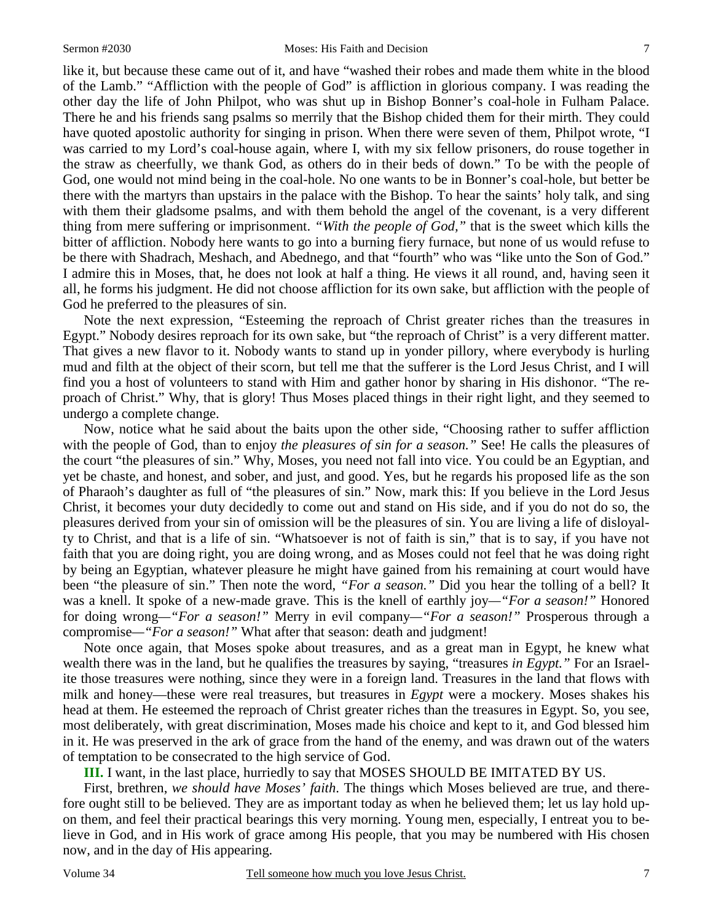like it, but because these came out of it, and have "washed their robes and made them white in the blood of the Lamb." "Affliction with the people of God" is affliction in glorious company. I was reading the other day the life of John Philpot, who was shut up in Bishop Bonner's coal-hole in Fulham Palace. There he and his friends sang psalms so merrily that the Bishop chided them for their mirth. They could have quoted apostolic authority for singing in prison. When there were seven of them, Philpot wrote, "I was carried to my Lord's coal-house again, where I, with my six fellow prisoners, do rouse together in the straw as cheerfully, we thank God, as others do in their beds of down." To be with the people of God, one would not mind being in the coal-hole. No one wants to be in Bonner's coal-hole, but better be there with the martyrs than upstairs in the palace with the Bishop. To hear the saints' holy talk, and sing with them their gladsome psalms, and with them behold the angel of the covenant, is a very different thing from mere suffering or imprisonment. *"With the people of God,"* that is the sweet which kills the bitter of affliction. Nobody here wants to go into a burning fiery furnace, but none of us would refuse to be there with Shadrach, Meshach, and Abednego, and that "fourth" who was "like unto the Son of God." I admire this in Moses, that, he does not look at half a thing. He views it all round, and, having seen it all, he forms his judgment. He did not choose affliction for its own sake, but affliction with the people of God he preferred to the pleasures of sin.

Note the next expression, "Esteeming the reproach of Christ greater riches than the treasures in Egypt." Nobody desires reproach for its own sake, but "the reproach of Christ" is a very different matter. That gives a new flavor to it. Nobody wants to stand up in yonder pillory, where everybody is hurling mud and filth at the object of their scorn, but tell me that the sufferer is the Lord Jesus Christ, and I will find you a host of volunteers to stand with Him and gather honor by sharing in His dishonor. "The reproach of Christ." Why, that is glory! Thus Moses placed things in their right light, and they seemed to undergo a complete change.

Now, notice what he said about the baits upon the other side, "Choosing rather to suffer affliction with the people of God, than to enjoy *the pleasures of sin for a season.*" See! He calls the pleasures of the court "the pleasures of sin." Why, Moses, you need not fall into vice. You could be an Egyptian, and yet be chaste, and honest, and sober, and just, and good. Yes, but he regards his proposed life as the son of Pharaoh's daughter as full of "the pleasures of sin." Now, mark this: If you believe in the Lord Jesus Christ, it becomes your duty decidedly to come out and stand on His side, and if you do not do so, the pleasures derived from your sin of omission will be the pleasures of sin. You are living a life of disloyalty to Christ, and that is a life of sin. "Whatsoever is not of faith is sin," that is to say, if you have not faith that you are doing right, you are doing wrong, and as Moses could not feel that he was doing right by being an Egyptian, whatever pleasure he might have gained from his remaining at court would have been "the pleasure of sin." Then note the word, *"For a season."* Did you hear the tolling of a bell? It was a knell. It spoke of a new-made grave. This is the knell of earthly joy*—"For a season!"* Honored for doing wrong*—"For a season!"* Merry in evil company*—"For a season!"* Prosperous through a compromise*—"For a season!"* What after that season: death and judgment!

Note once again, that Moses spoke about treasures, and as a great man in Egypt, he knew what wealth there was in the land, but he qualifies the treasures by saying, "treasures *in Egypt."* For an Israelite those treasures were nothing, since they were in a foreign land. Treasures in the land that flows with milk and honey—these were real treasures, but treasures in *Egypt* were a mockery. Moses shakes his head at them. He esteemed the reproach of Christ greater riches than the treasures in Egypt. So, you see, most deliberately, with great discrimination, Moses made his choice and kept to it, and God blessed him in it. He was preserved in the ark of grace from the hand of the enemy, and was drawn out of the waters of temptation to be consecrated to the high service of God.

**III.** I want, in the last place, hurriedly to say that MOSES SHOULD BE IMITATED BY US.

First, brethren, *we should have Moses' faith*. The things which Moses believed are true, and therefore ought still to be believed. They are as important today as when he believed them; let us lay hold upon them, and feel their practical bearings this very morning. Young men, especially, I entreat you to believe in God, and in His work of grace among His people, that you may be numbered with His chosen now, and in the day of His appearing.